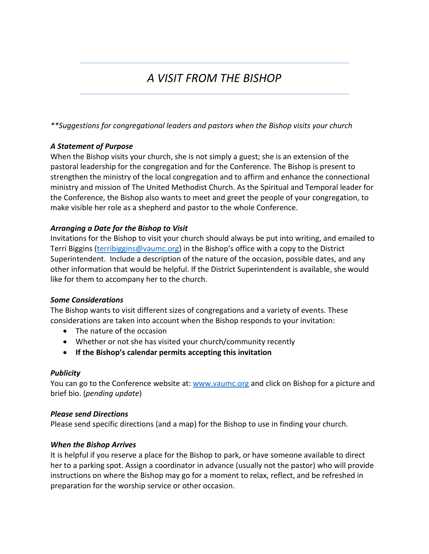# *A VISIT FROM THE BISHOP*

*\*\*Suggestions for congregational leaders and pastors when the Bishop visits your church*

## *A Statement of Purpose*

When the Bishop visits your church, she is not simply a guest; she is an extension of the pastoral leadership for the congregation and for the Conference. The Bishop is present to strengthen the ministry of the local congregation and to affirm and enhance the connectional ministry and mission of The United Methodist Church. As the Spiritual and Temporal leader for the Conference, the Bishop also wants to meet and greet the people of your congregation, to make visible her role as a shepherd and pastor to the whole Conference.

## *Arranging a Date for the Bishop to Visit*

Invitations for the Bishop to visit your church should always be put into writing, and emailed to Terri Biggins [\(terribiggins@vaumc.org\)](mailto:terribiggins@vaumc.org) in the Bishop's office with a copy to the District Superintendent. Include a description of the nature of the occasion, possible dates, and any other information that would be helpful. If the District Superintendent is available, she would like for them to accompany her to the church.

## *Some Considerations*

The Bishop wants to visit different sizes of congregations and a variety of events. These considerations are taken into account when the Bishop responds to your invitation:

- The nature of the occasion
- Whether or not she has visited your church/community recently
- **If the Bishop's calendar permits accepting this invitation**

# *Publicity*

You can go to the Conference website at: [www.vaumc.org](http://www.vaumc.org/) and click on Bishop for a picture and brief bio. (*pending update*)

# *Please send Directions*

Please send specific directions (and a map) for the Bishop to use in finding your church.

## *When the Bishop Arrives*

It is helpful if you reserve a place for the Bishop to park, or have someone available to direct her to a parking spot. Assign a coordinator in advance (usually not the pastor) who will provide instructions on where the Bishop may go for a moment to relax, reflect, and be refreshed in preparation for the worship service or other occasion.